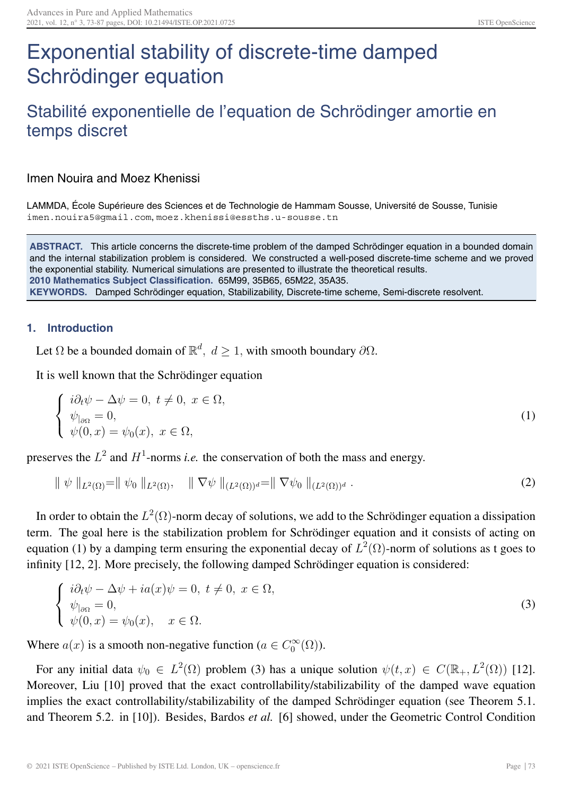# Exponential stability of discrete-time damped Schrödinger equation

# Stabilité exponentielle de l'equation de Schrödinger amortie en temps discret

Imen Nouira and Moez Khenissi

LAMMDA, École Supérieure des Sciences et de Technologie de Hammam Sousse, Université de Sousse, Tunisie imen.nouira5@gmail.com, moez.khenissi@essths.u-sousse.tn

**ABSTRACT.** This article concerns the discrete-time problem of the damped Schrödinger equation in a bounded domain and the internal stabilization problem is considered. We constructed a well-posed discrete-time scheme and we proved the exponential stability. Numerical simulations are presented to illustrate the theoretical results. **2010 Mathematics Subject Classification.** 65M99, 35B65, 65M22, 35A35. **KEYWORDS.** Damped Schrödinger equation, Stabilizability, Discrete-time scheme, Semi-discrete resolvent.

### **1. Introduction**

Let  $\Omega$  be a bounded domain of  $\mathbb{R}^d$ ,  $d \geq 1$ , with smooth boundary  $\partial \Omega$ .

It is well known that the Schrödinger equation

$$
\begin{cases}\ni\partial_t\psi - \Delta\psi = 0, \ t \neq 0, \ x \in \Omega, \\
\psi_{|_{\partial\Omega}} = 0, \\
\psi(0, x) = \psi_0(x), \ x \in \Omega,\n\end{cases} \tag{1}
$$

preserves the  $L^2$  and  $H^1$ -norms *i.e.* the conservation of both the mass and energy.

$$
\| \psi \|_{L^2(\Omega)} = \| \psi_0 \|_{L^2(\Omega)}, \quad \| \nabla \psi \|_{(L^2(\Omega))^d} = \| \nabla \psi_0 \|_{(L^2(\Omega))^d} .
$$
 (2)

In order to obtain the  $L^2(\Omega)$ -norm decay of solutions, we add to the Schrödinger equation a dissipation term. The goal here is the stabilization problem for Schrödinger equation and it consists of acting on equation (1) by a damping term ensuring the exponential decay of  $L^2(\Omega)$ -norm of solutions as t goes to infinity [12, 2]. More precisely, the following damped Schrödinger equation is considered:

$$
\begin{cases}\ni\partial_t\psi - \Delta\psi + ia(x)\psi = 0, \ t \neq 0, \ x \in \Omega, \\
\psi_{|_{\partial\Omega}} = 0, \\
\psi(0, x) = \psi_0(x), \quad x \in \Omega.\n\end{cases} \tag{3}
$$

Where  $a(x)$  is a smooth non-negative function ( $a \in C_0^{\infty}(\Omega)$ ).

For any initial data  $\psi_0 \in L^2(\Omega)$  problem (3) has a unique solution  $\psi(t,x) \in C(\mathbb{R}_+, L^2(\Omega))$  [12]. Moreover, Liu [10] proved that the exact controllability/stabilizability of the damped wave equation implies the exact controllability/stabilizability of the damped Schrödinger equation (see Theorem 5.1. and Theorem 5.2. in [10]). Besides, Bardos *et al.* [6] showed, under the Geometric Control Condition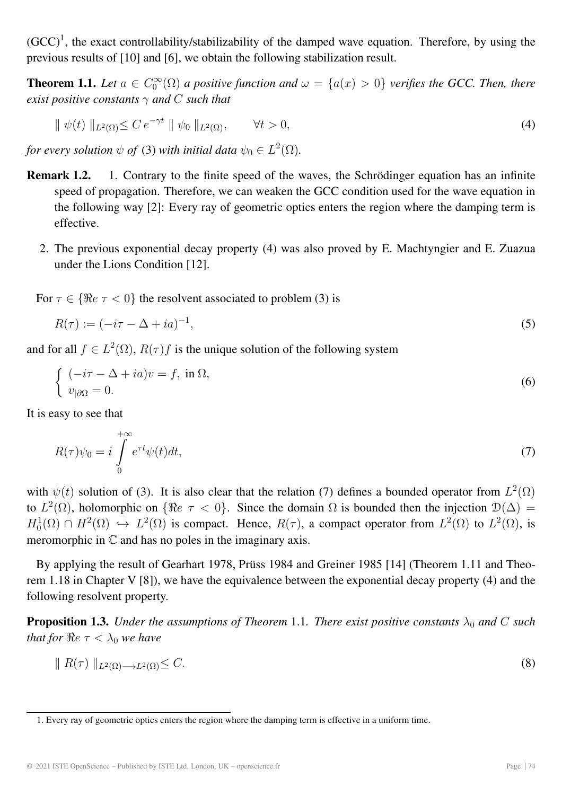$(GCC)^1$ , the exact controllability/stabilizability of the damped wave equation. Therefore, by using the previous results of [10] and [6], we obtain the following stabilization result.

**Theorem 1.1.** Let  $a \in C_0^{\infty}(\Omega)$  a positive function and  $\omega = \{a(x) > 0\}$  verifies the GCC. Then, there *exist positive constants*  $\gamma$  *and* C *such that* 

$$
\|\psi(t)\|_{L^2(\Omega)} \le C e^{-\gamma t} \|\psi_0\|_{L^2(\Omega)}, \qquad \forall t > 0,
$$
\n
$$
(4)
$$

*for every solution*  $\psi$  *of* (3) *with initial data*  $\psi_0 \in L^2(\Omega)$ *.* 

- **Remark 1.2.** 1. Contrary to the finite speed of the waves, the Schrödinger equation has an infinite speed of propagation. Therefore, we can weaken the GCC condition used for the wave equation in the following way [2]: Every ray of geometric optics enters the region where the damping term is effective.
	- 2. The previous exponential decay property (4) was also proved by E. Machtyngier and E. Zuazua under the Lions Condition [12].

For  $\tau \in \{\Re e \tau < 0\}$  the resolvent associated to problem (3) is

$$
R(\tau) := (-i\tau - \Delta + i a)^{-1},\tag{5}
$$

and for all  $f \in L^2(\Omega)$ ,  $R(\tau)f$  is the unique solution of the following system

$$
\begin{cases}\n(-i\tau - \Delta + ia)v = f, \text{ in } \Omega, \\
v_{|\partial\Omega} = 0.\n\end{cases}
$$
\n(6)

It is easy to see that

$$
R(\tau)\psi_0 = i \int_0^{+\infty} e^{\tau t} \psi(t) dt,\tag{7}
$$

with  $\psi(t)$  solution of (3). It is also clear that the relation (7) defines a bounded operator from  $L^2(\Omega)$ to  $L^2(\Omega)$ , holomorphic on  $\{\Re e \tau < 0\}$ . Since the domain  $\Omega$  is bounded then the injection  $\mathcal{D}(\Delta) =$  $H_0^1(\Omega) \cap H^2(\Omega) \hookrightarrow L^2(\Omega)$  is compact. Hence,  $R(\tau)$ , a compact operator from  $L^2(\Omega)$  to  $L^2(\Omega)$ , is meromorphic in C and has no poles in the imaginary axis.

By applying the result of Gearhart 1978, Prüss 1984 and Greiner 1985 [14] (Theorem 1.11 and Theorem 1.18 in Chapter V [8]), we have the equivalence between the exponential decay property (4) and the following resolvent property.

**Proposition 1.3.** *Under the assumptions of Theorem* 1.1*. There exist positive constants*  $\lambda_0$  *and* C *such that for*  $Re \tau < \lambda_0$  *we have* 

$$
\| R(\tau) \|_{L^2(\Omega) \to L^2(\Omega)} \leq C. \tag{8}
$$

<sup>1.</sup> Every ray of geometric optics enters the region where the damping term is effective in a uniform time.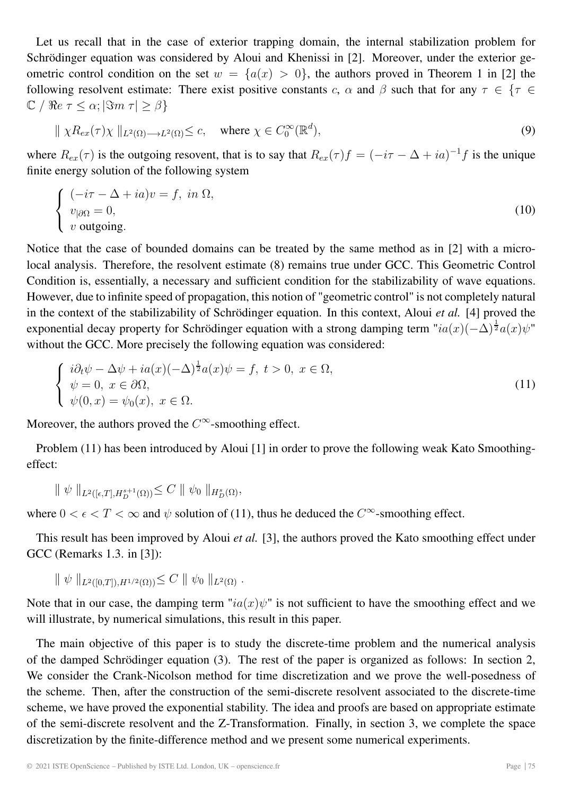Let us recall that in the case of exterior trapping domain, the internal stabilization problem for Schrödinger equation was considered by Aloui and Khenissi in [2]. Moreover, under the exterior geometric control condition on the set  $w = \{a(x) > 0\}$ , the authors proved in Theorem 1 in [2] the following resolvent estimate: There exist positive constants c,  $\alpha$  and  $\beta$  such that for any  $\tau \in {\tau \in \mathbb{R}^n}$  $\mathbb{C}$  /  $\Re e \tau \leq \alpha$ ;  $|\Im m \tau| \geq \beta$ }

$$
\| \chi R_{ex}(\tau) \chi \|_{L^2(\Omega) \to L^2(\Omega)} \leq c, \quad \text{where } \chi \in C_0^{\infty}(\mathbb{R}^d), \tag{9}
$$

where  $R_{ex}(\tau)$  is the outgoing resovent, that is to say that  $R_{ex}(\tau)f = (-i\tau - \Delta + ia)^{-1}f$  is the unique finite energy solution of the following system

$$
\begin{cases}\n(-i\tau - \Delta + ia)v = f, \ in \ \Omega, \\
v_{|\partial\Omega} = 0, \\
v \text{ outgoing}.\n\end{cases}
$$
\n(10)

Notice that the case of bounded domains can be treated by the same method as in [2] with a microlocal analysis. Therefore, the resolvent estimate (8) remains true under GCC. This Geometric Control Condition is, essentially, a necessary and sufficient condition for the stabilizability of wave equations. However, due to infinite speed of propagation, this notion of "geometric control" is not completely natural in the context of the stabilizability of Schrödinger equation. In this context, Aloui *et al.* [4] proved the exponential decay property for Schrödinger equation with a strong damping term " $ia(x)(-\Delta)^{\frac{1}{2}}a(x)\psi$ " without the GCC. More precisely the following equation was considered:

$$
\begin{cases}\ni\partial_t\psi - \Delta\psi + ia(x)(-\Delta)^{\frac{1}{2}}a(x)\psi = f, \ t > 0, \ x \in \Omega, \\
\psi = 0, \ x \in \partial\Omega, \\
\psi(0, x) = \psi_0(x), \ x \in \Omega.\n\end{cases} \tag{11}
$$

Moreover, the authors proved the  $C^{\infty}$ -smoothing effect.

Problem (11) has been introduced by Aloui [1] in order to prove the following weak Kato Smoothingeffect:

$$
\|\psi\|_{L^2([\epsilon,T],H_D^{s+1}(\Omega))} \leq C \|\psi_0\|_{H_D^s(\Omega)},
$$

where  $0 < \epsilon < T < \infty$  and  $\psi$  solution of (11), thus he deduced the  $C^{\infty}$ -smoothing effect.

This result has been improved by Aloui *et al.* [3], the authors proved the Kato smoothing effect under GCC (Remarks 1.3. in [3]):

 $\|\psi\|_{L^2([0,T]),H^{1/2}(\Omega))} \leq C \|\psi_0\|_{L^2(\Omega)}$ .

Note that in our case, the damping term " $ia(x)\psi$ " is not sufficient to have the smoothing effect and we will illustrate, by numerical simulations, this result in this paper.

The main objective of this paper is to study the discrete-time problem and the numerical analysis of the damped Schrödinger equation (3). The rest of the paper is organized as follows: In section 2, We consider the Crank-Nicolson method for time discretization and we prove the well-posedness of the scheme. Then, after the construction of the semi-discrete resolvent associated to the discrete-time scheme, we have proved the exponential stability. The idea and proofs are based on appropriate estimate of the semi-discrete resolvent and the Z-Transformation. Finally, in section 3, we complete the space discretization by the finite-difference method and we present some numerical experiments.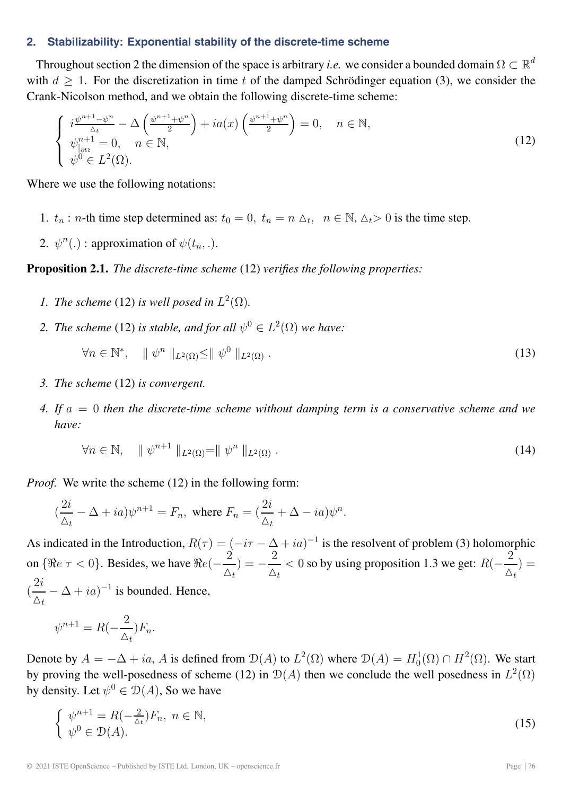#### **2. Stabilizability: Exponential stability of the discrete-time scheme**

Throughout section 2 the dimension of the space is arbitrary *i.e.* we consider a bounded domain  $\Omega \subset \mathbb{R}^d$ with  $d \geq 1$ . For the discretization in time t of the damped Schrödinger equation (3), we consider the Crank-Nicolson method, and we obtain the following discrete-time scheme:

$$
\begin{cases}\ni\frac{\psi^{n+1}-\psi^n}{\Delta t} - \Delta\left(\frac{\psi^{n+1}+\psi^n}{2}\right) + ia(x)\left(\frac{\psi^{n+1}+\psi^n}{2}\right) = 0, \quad n \in \mathbb{N}, \\
\psi^{n+1}_{|\partial\Omega} = 0, \quad n \in \mathbb{N}, \\
\psi^0 \in L^2(\Omega).\n\end{cases} \tag{12}
$$

Where we use the following notations:

- 1.  $t_n$ : *n*-th time step determined as:  $t_0 = 0$ ,  $t_n = n \Delta_t$ ,  $n \in \mathbb{N}$ ,  $\Delta_t > 0$  is the time step.
- 2.  $\psi^n(.)$ : approximation of  $\psi(t_n, .)$ .

# **Proposition 2.1.** *The discrete-time scheme* (12) *verifies the following properties:*

- *1. The scheme* (12) *is well posed in*  $L^2(\Omega)$ *.*
- 2. The scheme (12) is stable, and for all  $\psi^0 \in L^2(\Omega)$  we have:  $\forall n \in \mathbb{N}^*, \quad || \psi^n ||_{L^2(\Omega)} \le || \psi^0 ||_{L^2(\Omega)}.$ (13)
- *3. The scheme* (12) *is convergent.*
- *4. If* a = 0 *then the discrete-time scheme without damping term is a conservative scheme and we have:*

$$
\forall n \in \mathbb{N}, \quad \parallel \psi^{n+1} \parallel_{L^2(\Omega)} = \parallel \psi^n \parallel_{L^2(\Omega)}.
$$
\n
$$
(14)
$$

*Proof.* We write the scheme (12) in the following form:

$$
(\frac{2i}{\Delta_t} - \Delta + ia)\psi^{n+1} = F_n, \text{ where } F_n = (\frac{2i}{\Delta_t} + \Delta - ia)\psi^n.
$$

As indicated in the Introduction,  $R(\tau) = (-i\tau - \Delta + i a)^{-1}$  is the resolvent of problem (3) holomorphic on {Re  $\tau < 0$ }. Besides, we have  $\Re e(-\frac{2}{\tau})$  $\frac{2}{\Delta_t}$ ) =  $-\frac{2}{\Delta_t}$  $\frac{2}{\Delta_t}$  < 0 so by using proposition 1.3 we get:  $R(-\frac{2}{\Delta_t})$  $\frac{1}{\Delta_t}$ ) = (  $2i$  $\frac{2i}{\Delta_t} - \Delta + ia$ <sup>-1</sup> is bounded. Hence,

$$
\psi^{n+1} = R(-\frac{2}{\Delta_t})F_n.
$$

Denote by  $A = -\Delta + ia$ , A is defined from  $\mathcal{D}(A)$  to  $L^2(\Omega)$  where  $\mathcal{D}(A) = H_0^1(\Omega) \cap H^2(\Omega)$ . We start by proving the well-posedness of scheme (12) in  $\mathcal{D}(A)$  then we conclude the well posedness in  $L^2(\Omega)$ by density. Let  $\psi^0 \in \mathcal{D}(A)$ , So we have

$$
\begin{cases}\n\psi^{n+1} = R(-\frac{2}{\Delta_t})F_n, \ n \in \mathbb{N}, \\
\psi^0 \in \mathcal{D}(A).\n\end{cases} \n(15)
$$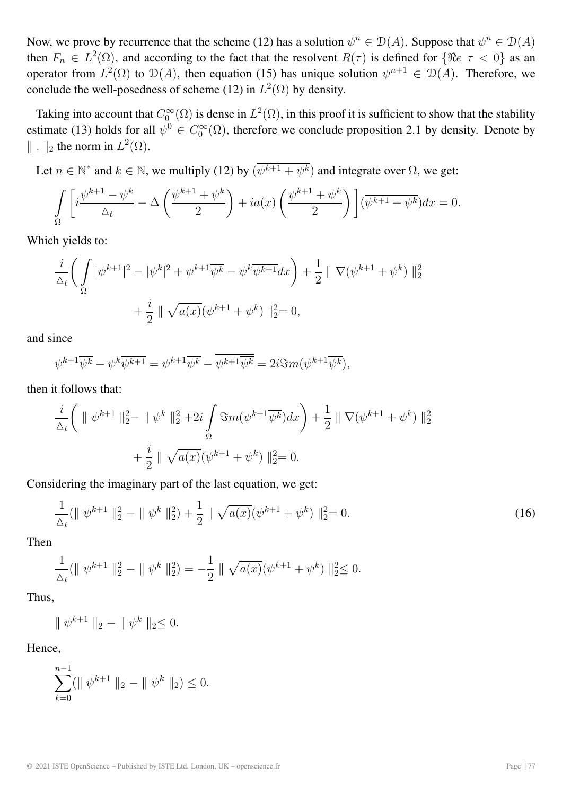Now, we prove by recurrence that the scheme (12) has a solution  $\psi^n \in \mathcal{D}(A)$ . Suppose that  $\psi^n \in \mathcal{D}(A)$ then  $F_n \in L^2(\Omega)$ , and according to the fact that the resolvent  $R(\tau)$  is defined for  $\{\Re e \tau < 0\}$  as an operator from  $L^2(\Omega)$  to  $\mathcal{D}(A)$ , then equation (15) has unique solution  $\psi^{n+1} \in \mathcal{D}(A)$ . Therefore, we conclude the well-posedness of scheme (12) in  $L^2(\Omega)$  by density.

Taking into account that  $C_0^{\infty}(\Omega)$  is dense in  $L^2(\Omega)$ , in this proof it is sufficient to show that the stability estimate (13) holds for all  $\psi^0 \in C_0^{\infty}(\Omega)$ , therefore we conclude proposition 2.1 by density. Denote by  $\|\cdot\|_2$  the norm in  $L^2(\Omega)$ .

Let  $n \in \mathbb{N}^*$  and  $k \in \mathbb{N}$ , we multiply (12) by  $(\overline{\psi^{k+1} + \psi^k})$  and integrate over  $\Omega$ , we get:

$$
\int_{\Omega} \left[ i \frac{\psi^{k+1} - \psi^k}{\Delta_t} - \Delta \left( \frac{\psi^{k+1} + \psi^k}{2} \right) + ia(x) \left( \frac{\psi^{k+1} + \psi^k}{2} \right) \right] (\overline{\psi^{k+1} + \psi^k}) dx = 0.
$$

Which yields to:

$$
\frac{i}{\Delta_t} \left( \int_{\Omega} |\psi^{k+1}|^2 - |\psi^k|^2 + \psi^{k+1} \overline{\psi^k} - \psi^k \overline{\psi^{k+1}} dx \right) + \frac{1}{2} \| \nabla (\psi^{k+1} + \psi^k) \|_2^2
$$

$$
+ \frac{i}{2} \| \sqrt{a(x)} (\psi^{k+1} + \psi^k) \|_2^2 = 0,
$$

and since

$$
\psi^{k+1}\overline{\psi^k} - \psi^k \overline{\psi^{k+1}} = \psi^{k+1}\overline{\psi^k} - \overline{\psi^{k+1}\overline{\psi^k}} = 2i\Im m(\psi^{k+1}\overline{\psi^k}),
$$

then it follows that:

$$
\frac{i}{\Delta_t} \left( \parallel \psi^{k+1} \parallel_2^2 - \parallel \psi^k \parallel_2^2 + 2i \int_{\Omega} \Im m(\psi^{k+1} \overline{\psi^k}) dx \right) + \frac{1}{2} \parallel \nabla(\psi^{k+1} + \psi^k) \parallel_2^2
$$

$$
+ \frac{i}{2} \parallel \sqrt{a(x)} (\psi^{k+1} + \psi^k) \parallel_2^2 = 0.
$$

Considering the imaginary part of the last equation, we get:

$$
\frac{1}{\Delta_t} (\|\psi^{k+1}\|_2^2 - \|\psi^k\|_2^2) + \frac{1}{2} \|\sqrt{a(x)}(\psi^{k+1} + \psi^k)\|_2^2 = 0.
$$
 (16)

Then

$$
\frac{1}{\Delta_t}(\|\psi^{k+1}\|_2^2 - \|\psi^k\|_2^2) = -\frac{1}{2} \|\sqrt{a(x)}(\psi^{k+1} + \psi^k)\|_2^2 \le 0.
$$

Thus,

$$
\| \psi^{k+1} \|_2 - \| \psi^k \|_2 \le 0.
$$

Hence,

$$
\sum_{k=0}^{n-1} (\parallel \psi^{k+1} \parallel_2 - \parallel \psi^k \parallel_2) \leq 0.
$$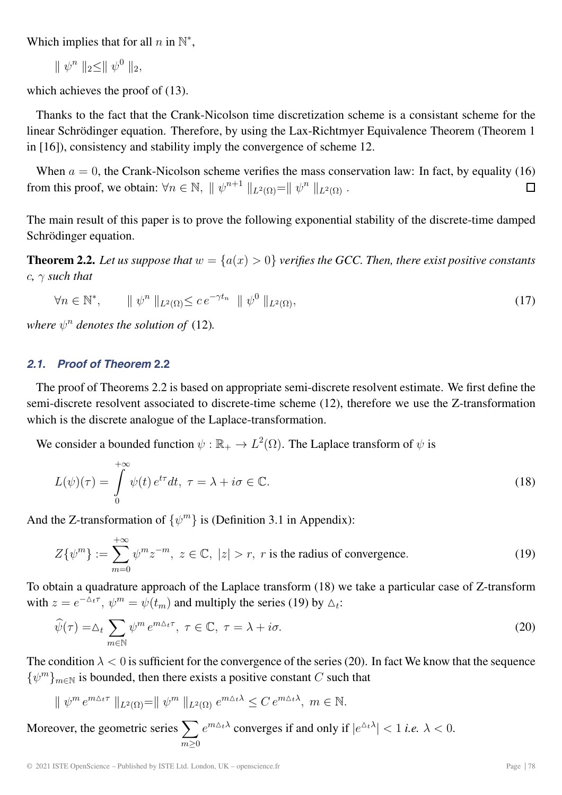Which implies that for all  $n$  in  $\mathbb{N}^*$ ,

$$
\parallel \psi^n \parallel_2 \leq \parallel \psi^0 \parallel_2,
$$

which achieves the proof of (13).

Thanks to the fact that the Crank-Nicolson time discretization scheme is a consistant scheme for the linear Schrödinger equation. Therefore, by using the Lax-Richtmyer Equivalence Theorem (Theorem 1 in [16]), consistency and stability imply the convergence of scheme 12.

When  $a = 0$ , the Crank-Nicolson scheme verifies the mass conservation law: In fact, by equality (16) from this proof, we obtain:  $\forall n \in \mathbb{N}$ ,  $\|\psi^{n+1}\|_{L^2(\Omega)} = \|\psi^n\|_{L^2(\Omega)}$ .  $\Box$ 

The main result of this paper is to prove the following exponential stability of the discrete-time damped Schrödinger equation.

**Theorem 2.2.** Let us suppose that  $w = \{a(x) > 0\}$  verifies the GCC. Then, there exist positive constants  $c, \gamma$  *such that* 

$$
\forall n \in \mathbb{N}^*, \qquad \parallel \psi^n \parallel_{L^2(\Omega)} \leq c \, e^{-\gamma t_n} \parallel \psi^0 \parallel_{L^2(\Omega)}, \tag{17}
$$

*where*  $\psi^n$  *denotes the solution of* (12)*.* 

# *2.1. Proof of Theorem* **2.2**

The proof of Theorems 2.2 is based on appropriate semi-discrete resolvent estimate. We first define the semi-discrete resolvent associated to discrete-time scheme (12), therefore we use the Z-transformation which is the discrete analogue of the Laplace-transformation.

We consider a bounded function  $\psi : \mathbb{R}_+ \to L^2(\Omega)$ . The Laplace transform of  $\psi$  is

$$
L(\psi)(\tau) = \int_{0}^{+\infty} \psi(t) e^{t\tau} dt, \ \tau = \lambda + i\sigma \in \mathbb{C}.
$$
 (18)

And the Z-transformation of  $\{\psi^m\}$  is (Definition 3.1 in Appendix):

$$
Z\{\psi^m\} := \sum_{m=0}^{+\infty} \psi^m z^{-m}, \ z \in \mathbb{C}, \ |z| > r, \ r \text{ is the radius of convergence.}
$$
 (19)

To obtain a quadrature approach of the Laplace transform (18) we take a particular case of Z-transform with  $z = e^{-\Delta_t \tau}$ ,  $\psi^m = \psi(t_m)$  and multiply the series (19) by  $\Delta_t$ :

$$
\widehat{\psi}(\tau) = \Delta_t \sum_{m \in \mathbb{N}} \psi^m e^{m \Delta_t \tau}, \ \tau \in \mathbb{C}, \ \tau = \lambda + i\sigma. \tag{20}
$$

The condition  $\lambda < 0$  is sufficient for the convergence of the series (20). In fact We know that the sequence  ${\psi^m}_{m\in\mathbb{N}}$  is bounded, then there exists a positive constant C such that

$$
\| \psi^m e^{m \Delta_t \tau} \|_{L^2(\Omega)} = \| \psi^m \|_{L^2(\Omega)} e^{m \Delta_t \lambda} \leq C e^{m \Delta_t \lambda}, \ m \in \mathbb{N}.
$$

Moreover, the geometric series  $\sum$  $m \geq 0$  $e^{m\Delta_t \lambda}$  converges if and only if  $|e^{\Delta_t \lambda}| < 1$  *i.e.*  $\lambda < 0$ .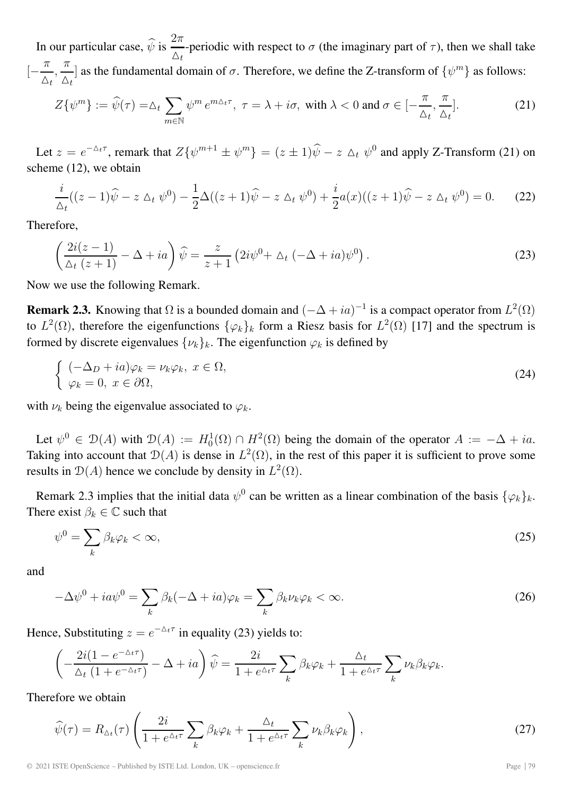In our particular case,  $\hat{\psi}$  is  $\frac{2\pi}{\Delta_t}$ -periodic with respect to  $\sigma$  (the imaginary part of  $\tau$ ), then we shall take  $\left[-\frac{\pi}{\sqrt{2}}\right]$  $\Delta_t$  $\frac{\pi}{\cdot}$  $\frac{\pi}{\Delta_t}$  as the fundamental domain of  $\sigma$ . Therefore, we define the Z-transform of  $\{\psi^m\}$  as follows:

$$
Z\{\psi^m\} := \widehat{\psi}(\tau) = \Delta_t \sum_{m \in \mathbb{N}} \psi^m e^{m\Delta_t \tau}, \ \tau = \lambda + i\sigma, \text{ with } \lambda < 0 \text{ and } \sigma \in [-\frac{\pi}{\Delta_t}, \frac{\pi}{\Delta_t}]. \tag{21}
$$

Let  $z = e^{-\Delta t \tau}$ , remark that  $Z\{\psi^{m+1} \pm \psi^m\} = (z \pm 1)\widehat{\psi} - z \Delta_t \psi^0$  and apply Z-Transform (21) on scheme (12), we obtain

$$
\frac{i}{\Delta_t}((z-1)\widehat{\psi}-z\Delta_t\,\psi^0)-\frac{1}{2}\Delta((z+1)\widehat{\psi}-z\Delta_t\,\psi^0)+\frac{i}{2}a(x)((z+1)\widehat{\psi}-z\Delta_t\,\psi^0)=0.\tag{22}
$$

Therefore,

$$
\left(\frac{2i(z-1)}{\Delta_t (z+1)} - \Delta + ia\right)\hat{\psi} = \frac{z}{z+1} \left(2i\psi^0 + \Delta_t \left(-\Delta + ia\right)\psi^0\right). \tag{23}
$$

Now we use the following Remark.

**Remark 2.3.** Knowing that  $\Omega$  is a bounded domain and  $(-\Delta + ia)^{-1}$  is a compact operator from  $L^2(\Omega)$ to  $L^2(\Omega)$ , therefore the eigenfunctions  $\{\varphi_k\}_k$  form a Riesz basis for  $L^2(\Omega)$  [17] and the spectrum is formed by discrete eigenvalues  $\{\nu_k\}_k$ . The eigenfunction  $\varphi_k$  is defined by

$$
\begin{cases}\n(-\Delta_D + ia)\varphi_k = \nu_k \varphi_k, \ x \in \Omega, \\
\varphi_k = 0, \ x \in \partial\Omega,\n\end{cases}
$$
\n(24)

with  $\nu_k$  being the eigenvalue associated to  $\varphi_k$ .

Let  $\psi^0 \in \mathcal{D}(A)$  with  $\mathcal{D}(A) := H_0^1(\Omega) \cap H^2(\Omega)$  being the domain of the operator  $A := -\Delta + ia$ . Taking into account that  $\mathcal{D}(A)$  is dense in  $L^2(\Omega)$ , in the rest of this paper it is sufficient to prove some results in  $\mathcal{D}(A)$  hence we conclude by density in  $L^2(\Omega)$ .

Remark 2.3 implies that the initial data  $\psi^0$  can be written as a linear combination of the basis  $\{\varphi_k\}_k$ . There exist  $\beta_k \in \mathbb{C}$  such that

$$
\psi^0 = \sum_k \beta_k \varphi_k < \infty,\tag{25}
$$

and

$$
-\Delta\psi^{0} + i a \psi^{0} = \sum_{k} \beta_{k} (-\Delta + i a) \varphi_{k} = \sum_{k} \beta_{k} \nu_{k} \varphi_{k} < \infty.
$$
 (26)

Hence, Substituting  $z = e^{-\Delta t \tau}$  in equality (23) yields to:

$$
\left(-\frac{2i(1-e^{-\Delta_t\tau})}{\Delta_t(1+e^{-\Delta_t\tau})}-\Delta+ia\right)\widehat{\psi}=\frac{2i}{1+e^{\Delta_t\tau}}\sum_k\beta_k\varphi_k+\frac{\Delta_t}{1+e^{\Delta_t\tau}}\sum_k\nu_k\beta_k\varphi_k.
$$

Therefore we obtain

$$
\widehat{\psi}(\tau) = R_{\Delta_t}(\tau) \left( \frac{2i}{1 + e^{\Delta_t \tau}} \sum_k \beta_k \varphi_k + \frac{\Delta_t}{1 + e^{\Delta_t \tau}} \sum_k \nu_k \beta_k \varphi_k \right),\tag{27}
$$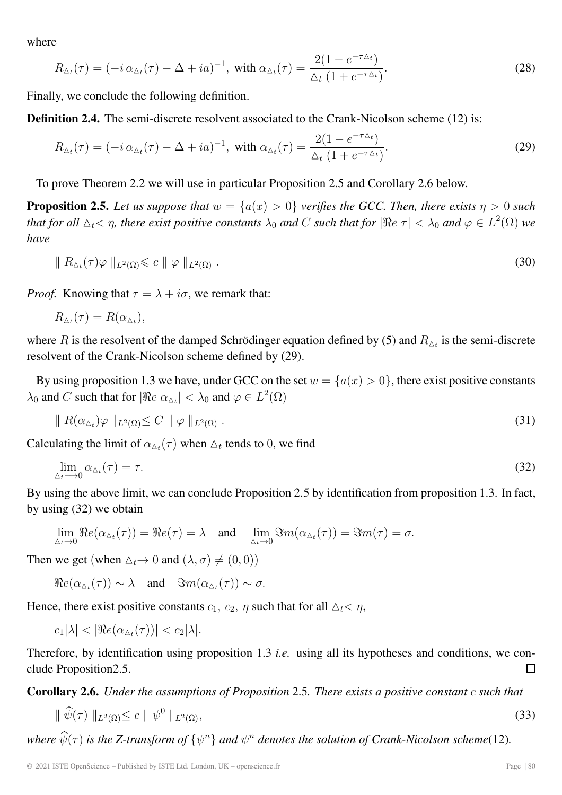where

$$
R_{\Delta_t}(\tau) = (-i \alpha_{\Delta_t}(\tau) - \Delta + i a)^{-1}, \text{ with } \alpha_{\Delta_t}(\tau) = \frac{2(1 - e^{-\tau \Delta_t})}{\Delta_t (1 + e^{-\tau \Delta_t})}.
$$
\n(28)

Finally, we conclude the following definition.

**Definition 2.4.** The semi-discrete resolvent associated to the Crank-Nicolson scheme (12) is:

$$
R_{\Delta_t}(\tau) = (-i \alpha_{\Delta_t}(\tau) - \Delta + i a)^{-1}, \text{ with } \alpha_{\Delta_t}(\tau) = \frac{2(1 - e^{-\tau \Delta_t})}{\Delta_t (1 + e^{-\tau \Delta_t})}.
$$
 (29)

To prove Theorem 2.2 we will use in particular Proposition 2.5 and Corollary 2.6 below.

**Proposition 2.5.** Let us suppose that  $w = \{a(x) > 0\}$  verifies the GCC. Then, there exists  $\eta > 0$  such that for all  $\Delta_t$ <  $\eta$ , there exist positive constants  $\lambda_0$  and  $C$  such that for  $|\Re e\>\tau|<\lambda_0$  and  $\varphi\in L^2(\Omega)$  we *have*

$$
\| R_{\Delta t}(\tau) \varphi \|_{L^2(\Omega)} \leqslant c \| \varphi \|_{L^2(\Omega)} . \tag{30}
$$

*Proof.* Knowing that  $\tau = \lambda + i\sigma$ , we remark that:

$$
R_{\Delta_t}(\tau) = R(\alpha_{\Delta_t}),
$$

where R is the resolvent of the damped Schrödinger equation defined by (5) and  $R_{\Delta t}$  is the semi-discrete resolvent of the Crank-Nicolson scheme defined by (29).

By using proposition 1.3 we have, under GCC on the set  $w = \{a(x) > 0\}$ , there exist positive constants  $\lambda_0$  and C such that for  $|\Re e \alpha_{\Delta t}| < \lambda_0$  and  $\varphi \in L^2(\Omega)$ 

$$
\| R(\alpha_{\Delta_t})\varphi \|_{L^2(\Omega)} \le C \| \varphi \|_{L^2(\Omega)} . \tag{31}
$$

Calculating the limit of  $\alpha_{\Delta_t}(\tau)$  when  $\Delta_t$  tends to 0, we find

$$
\lim_{\Delta_t \to 0} \alpha_{\Delta_t}(\tau) = \tau. \tag{32}
$$

By using the above limit, we can conclude Proposition 2.5 by identification from proposition 1.3. In fact, by using (32) we obtain

$$
\lim_{\Delta_t \to 0} \Re e(\alpha_{\Delta_t}(\tau)) = \Re e(\tau) = \lambda \quad \text{and} \quad \lim_{\Delta_t \to 0} \Im m(\alpha_{\Delta_t}(\tau)) = \Im m(\tau) = \sigma.
$$

Then we get (when  $\Delta_t \to 0$  and  $(\lambda, \sigma) \neq (0, 0)$ )

 $\Re e(\alpha_{\Delta t}(\tau)) \sim \lambda$  and  $\Im m(\alpha_{\Delta t}(\tau)) \sim \sigma$ .

Hence, there exist positive constants  $c_1$ ,  $c_2$ ,  $\eta$  such that for all  $\Delta_t < \eta$ ,

 $c_1|\lambda| < |\Re e(\alpha_{\Delta t}(\tau))| < c_2|\lambda|.$ 

Therefore, by identification using proposition 1.3 *i.e.* using all its hypotheses and conditions, we conclude Proposition2.5. П

**Corollary 2.6.** *Under the assumptions of Proposition* 2.5*. There exists a positive constant* c *such that*

$$
\|\widehat{\psi}(\tau)\|_{L^2(\Omega)} \le c \|\psi^0\|_{L^2(\Omega)},\tag{33}
$$

*where*  $\hat{\psi}(\tau)$  *is the Z-transform of*  $\{\psi^n\}$  *and*  $\psi^n$  *denotes the solution of Crank-Nicolson scheme*(12)*.*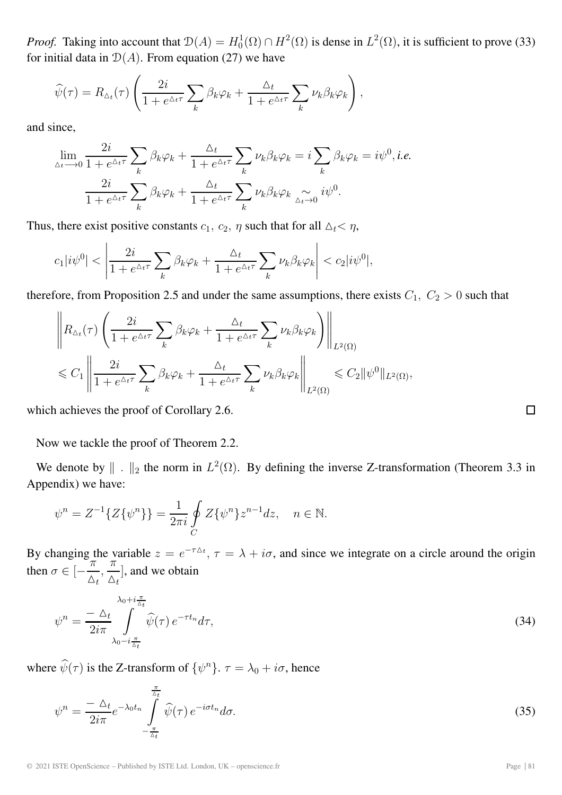*Proof.* Taking into account that  $\mathcal{D}(A) = H_0^1(\Omega) \cap H^2(\Omega)$  is dense in  $L^2(\Omega)$ , it is sufficient to prove (33) for initial data in  $D(A)$ . From equation (27) we have

$$
\widehat{\psi}(\tau) = R_{\Delta_t}(\tau) \left( \frac{2i}{1 + e^{\Delta_t \tau}} \sum_k \beta_k \varphi_k + \frac{\Delta_t}{1 + e^{\Delta_t \tau}} \sum_k \nu_k \beta_k \varphi_k \right),
$$

and since,

$$
\lim_{\Delta_t \to 0} \frac{2i}{1 + e^{\Delta_t \tau}} \sum_k \beta_k \varphi_k + \frac{\Delta_t}{1 + e^{\Delta_t \tau}} \sum_k \nu_k \beta_k \varphi_k = i \sum_k \beta_k \varphi_k = i \psi^0, i.e.
$$
  

$$
\frac{2i}{1 + e^{\Delta_t \tau}} \sum_k \beta_k \varphi_k + \frac{\Delta_t}{1 + e^{\Delta_t \tau}} \sum_k \nu_k \beta_k \varphi_k \underset{\Delta_t \to 0}{\sim} i \psi^0.
$$

Thus, there exist positive constants  $c_1$ ,  $c_2$ ,  $\eta$  such that for all  $\Delta_t < \eta$ ,

$$
c_1|i\psi^0| < \left|\frac{2i}{1 + e^{\Delta_t \tau}} \sum_k \beta_k \varphi_k + \frac{\Delta_t}{1 + e^{\Delta_t \tau}} \sum_k \nu_k \beta_k \varphi_k\right| < c_2|i\psi^0|,
$$

therefore, from Proposition 2.5 and under the same assumptions, there exists  $C_1$ ,  $C_2 > 0$  such that

$$
\left\| R_{\Delta_t}(\tau) \left( \frac{2i}{1 + e^{\Delta_t \tau}} \sum_k \beta_k \varphi_k + \frac{\Delta_t}{1 + e^{\Delta_t \tau}} \sum_k \nu_k \beta_k \varphi_k \right) \right\|_{L^2(\Omega)}
$$
  

$$
\leq C_1 \left\| \frac{2i}{1 + e^{\Delta_t \tau}} \sum_k \beta_k \varphi_k + \frac{\Delta_t}{1 + e^{\Delta_t \tau}} \sum_k \nu_k \beta_k \varphi_k \right\|_{L^2(\Omega)} \leq C_2 \| \psi^0 \|_{L^2(\Omega)},
$$

which achieves the proof of Corollary 2.6.

Now we tackle the proof of Theorem 2.2.

We denote by  $\|\cdot\|_2$  the norm in  $L^2(\Omega)$ . By defining the inverse Z-transformation (Theorem 3.3 in Appendix) we have:

$$
\psi^{n} = Z^{-1}\{Z\{\psi^{n}\}\} = \frac{1}{2\pi i} \oint_{C} Z\{\psi^{n}\} z^{n-1} dz, \quad n \in \mathbb{N}.
$$

By changing the variable  $z = e^{-\tau \Delta t}$ ,  $\tau = \lambda + i\sigma$ , and since we integrate on a circle around the origin by changing then  $\sigma \in [-\frac{\pi}{\sqrt{2}}]$  $\Delta_t$  $\frac{\pi}{\pi}$  $\left[\frac{1}{\Delta_t}\right]$ , and we obtain

$$
\psi^n = \frac{-\Delta_t}{2i\pi} \int_{\lambda_0 - i\frac{\pi}{\Delta_t}}^{\lambda_0 + i\frac{\pi}{\Delta_t}} \widehat{\psi}(\tau) e^{-\tau t_n} d\tau,\tag{34}
$$

where  $\hat{\psi}(\tau)$  is the Z-transform of  $\{\psi^n\}$ .  $\tau = \lambda_0 + i\sigma$ , hence

$$
\psi^n = \frac{-\Delta_t}{2i\pi} e^{-\lambda_0 t_n} \int\limits_{-\frac{\pi}{\Delta_t}}^{\frac{\pi}{\Delta_t}} \widehat{\psi}(\tau) e^{-i\sigma t_n} d\sigma.
$$
\n(35)

 $\Box$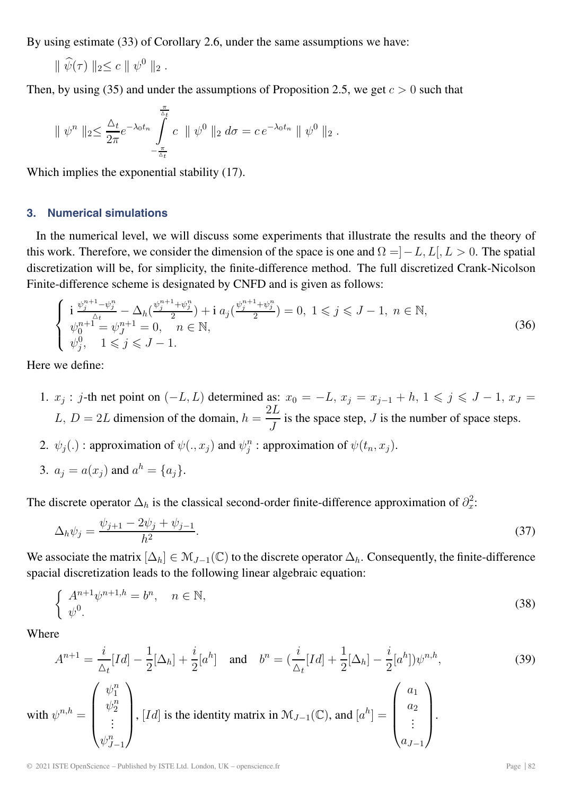By using estimate (33) of Corollary 2.6, under the same assumptions we have:

 $\|\hat{\psi}(\tau)\|_{2} \leq c \| \psi^{0} \|_{2}.$ 

Then, by using (35) and under the assumptions of Proposition 2.5, we get  $c > 0$  such that

$$
\|\psi^n\|_2 \leq \frac{\Delta_t}{2\pi} e^{-\lambda_0 t_n} \int\limits_{-\frac{\pi}{\Delta_t}}^{\frac{\pi}{\Delta_t}} c \|\psi^0\|_2 d\sigma = c e^{-\lambda_0 t_n} \|\psi^0\|_2.
$$

Which implies the exponential stability (17).

# **3. Numerical simulations**

In the numerical level, we will discuss some experiments that illustrate the results and the theory of this work. Therefore, we consider the dimension of the space is one and  $\Omega = ]-L, L[, L > 0]$ . The spatial discretization will be, for simplicity, the finite-difference method. The full discretized Crank-Nicolson Finite-difference scheme is designated by CNFD and is given as follows:

$$
\begin{cases}\n\mathbf{i} \frac{\psi_{j}^{n+1} - \psi_{j}^{n}}{\Delta t} - \Delta_{h}(\frac{\psi_{j}^{n+1} + \psi_{j}^{n}}{2}) + \mathbf{i} a_{j}(\frac{\psi_{j}^{n+1} + \psi_{j}^{n}}{2}) = 0, \ 1 \leq j \leq J - 1, \ n \in \mathbb{N}, \\
\psi_{0}^{n+1} = \psi_{J}^{n+1} = 0, \quad n \in \mathbb{N}, \\
\psi_{j}^{0}, \quad 1 \leq j \leq J - 1.\n\end{cases} \tag{36}
$$

Here we define:

- 1.  $x_j$  : j-th net point on  $(-L, L)$  determined as:  $x_0 = -L$ ,  $x_j = x_{j-1} + h$ ,  $1 \le j \le J 1$ ,  $x_J =$  $L, D = 2L$  dimension of the domain,  $h = \frac{2L}{J}$  is the space step, J is the number of space steps.
- 2.  $\psi_j(.)$ : approximation of  $\psi(.,x_j)$  and  $\psi_i^{\hat{n}}$ : approximation of  $\psi(t_n, x_j)$ .
- 3.  $a_i = a(x_i)$  and  $a^h = \{a_i\}.$

The discrete operator  $\Delta_h$  is the classical second-order finite-difference approximation of  $\partial_x^2$ :

$$
\Delta_h \psi_j = \frac{\psi_{j+1} - 2\psi_j + \psi_{j-1}}{h^2}.
$$
\n(37)

We associate the matrix  $[\Delta_h] \in \mathcal{M}_{J-1}(\mathbb{C})$  to the discrete operator  $\Delta_h$ . Consequently, the finite-difference spacial discretization leads to the following linear algebraic equation:

$$
\begin{cases} A^{n+1} \psi^{n+1,h} = b^n, & n \in \mathbb{N}, \\ \psi^0. & \end{cases}
$$
 (38)

Where

$$
A^{n+1} = \frac{i}{\Delta_t}[Id] - \frac{1}{2}[\Delta_h] + \frac{i}{2}[a^h] \quad \text{and} \quad b^n = \left(\frac{i}{\Delta_t}[Id] + \frac{1}{2}[\Delta_h] - \frac{i}{2}[a^h]\right)\psi^{n,h},\tag{39}
$$
  
with  $\psi^{n,h} = \begin{pmatrix} \psi_1^n \\ \psi_2^n \\ \vdots \\ \psi_{J-1}^n \end{pmatrix}$ , [Id] is the identity matrix in  $\mathcal{M}_{J-1}(\mathbb{C})$ , and  $[a^h] = \begin{pmatrix} a_1 \\ a_2 \\ \vdots \\ a_{J-1} \end{pmatrix}$ .

© 2021 ISTE OpenScience – Published by ISTE Ltd. London, UK – openscience.fr Page | 82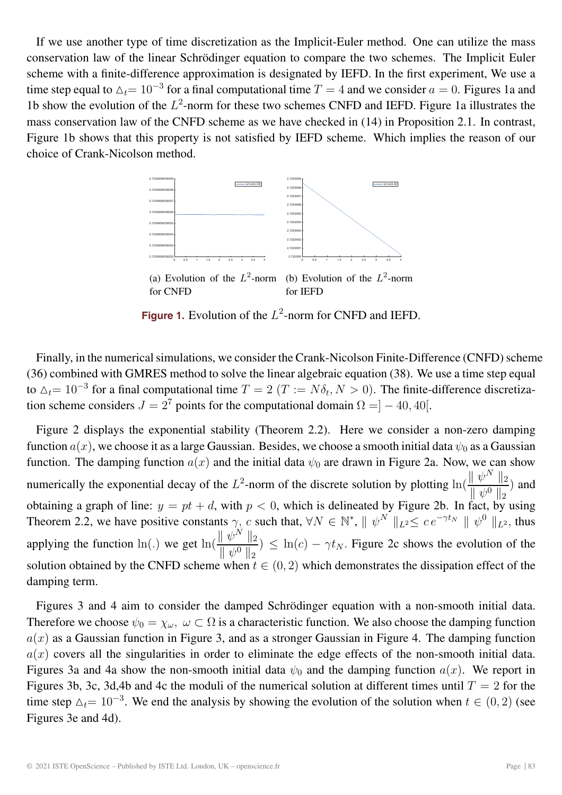If we use another type of time discretization as the Implicit-Euler method. One can utilize the mass conservation law of the linear Schrödinger equation to compare the two schemes. The Implicit Euler scheme with a finite-difference approximation is designated by IEFD. In the first experiment, We use a time step equal to  $\Delta_t= 10^{-3}$  for a final computational time  $T=4$  and we consider  $a=0$ . Figures 1a and 1b show the evolution of the  $L^2$ -norm for these two schemes CNFD and IEFD. Figure 1a illustrates the mass conservation law of the CNFD scheme as we have checked in (14) in Proposition 2.1. In contrast, Figure 1b shows that this property is not satisfied by IEFD scheme. Which implies the reason of our choice of Crank-Nicolson method.



**Figure 1.** Evolution of the  $L^2$ -norm for CNFD and IEFD.

Finally, in the numerical simulations, we consider the Crank-Nicolson Finite-Difference (CNFD) scheme (36) combined with GMRES method to solve the linear algebraic equation (38). We use a time step equal to  $\Delta_t= 10^{-3}$  for a final computational time  $T = 2$  ( $T := N\delta_t, N > 0$ ). The finite-difference discretization scheme considers  $J = 2^7$  points for the computational domain  $\Omega = ] - 40, 40[$ .

Figure 2 displays the exponential stability (Theorem 2.2). Here we consider a non-zero damping function  $a(x)$ , we choose it as a large Gaussian. Besides, we choose a smooth initial data  $\psi_0$  as a Gaussian function. The damping function  $a(x)$  and the initial data  $\psi_0$  are drawn in Figure 2a. Now, we can show numerically the exponential decay of the  $L^2$ -norm of the discrete solution by plotting  $\ln\left(\frac{\|\psi^N\|_2}{\|\psi^O\|_2}\right)$  $\frac{\mathbb{E} \times \mathbb{E} \times \mathbb{E}}{\|\psi^0\|_2}$  and obtaining a graph of line:  $y = pt + d$ , with  $p < 0$ , which is delineated by Figure 2b. In fact, by using Theorem 2.2, we have positive constants  $\gamma$ , c such that,  $\forall N \in \mathbb{N}^*$ ,  $\|\psi^N\|_{L^2} \leq c e^{-\gamma t_N} \|\psi^0\|_{L^2}$ , thus applying the function ln(.) we get  $\ln(\frac{\|\psi^N\|_2}{\|\psi^N\|_2})$  $\|\psi^0\|_2$ )  $\leq \ln(c) - \gamma t_N$ . Figure 2c shows the evolution of the solution obtained by the CNFD scheme when  $t \in (0, 2)$  which demonstrates the dissipation effect of the damping term.

Figures 3 and 4 aim to consider the damped Schrödinger equation with a non-smooth initial data. Therefore we choose  $\psi_0 = \chi_\omega$ ,  $\omega \subset \Omega$  is a characteristic function. We also choose the damping function  $a(x)$  as a Gaussian function in Figure 3, and as a stronger Gaussian in Figure 4. The damping function  $a(x)$  covers all the singularities in order to eliminate the edge effects of the non-smooth initial data. Figures 3a and 4a show the non-smooth initial data  $\psi_0$  and the damping function  $a(x)$ . We report in Figures 3b, 3c, 3d,4b and 4c the moduli of the numerical solution at different times until  $T = 2$  for the time step  $\Delta_t= 10^{-3}$ . We end the analysis by showing the evolution of the solution when  $t \in (0, 2)$  (see Figures 3e and 4d).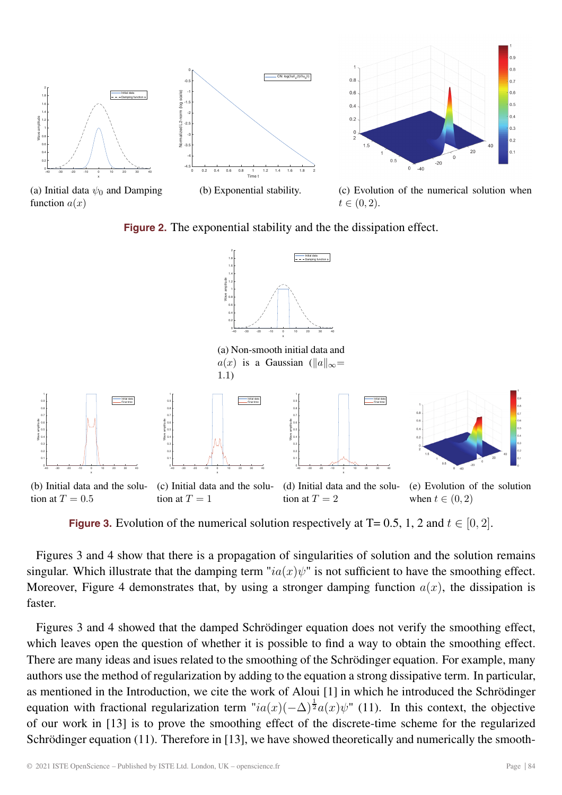

function  $a(x)$ 

 $t \in (0, 2)$ .

**Figure 2.** The exponential stability and the the dissipation effect.



**Figure 3.** Evolution of the numerical solution respectively at  $T = 0.5$ , 1, 2 and  $t \in [0, 2]$ .

Figures 3 and 4 show that there is a propagation of singularities of solution and the solution remains singular. Which illustrate that the damping term " $ia(x)\psi$ " is not sufficient to have the smoothing effect. Moreover, Figure 4 demonstrates that, by using a stronger damping function  $a(x)$ , the dissipation is faster.

Figures 3 and 4 showed that the damped Schrödinger equation does not verify the smoothing effect, which leaves open the question of whether it is possible to find a way to obtain the smoothing effect. There are many ideas and isues related to the smoothing of the Schrödinger equation. For example, many authors use the method of regularization by adding to the equation a strong dissipative term. In particular, as mentioned in the Introduction, we cite the work of Aloui [1] in which he introduced the Schrödinger equation with fractional regularization term " $ia(x)(-\Delta)^{\frac{1}{2}}a(x)\psi$ " (11). In this context, the objective of our work in [13] is to prove the smoothing effect of the discrete-time scheme for the regularized Schrödinger equation (11). Therefore in [13], we have showed theoretically and numerically the smooth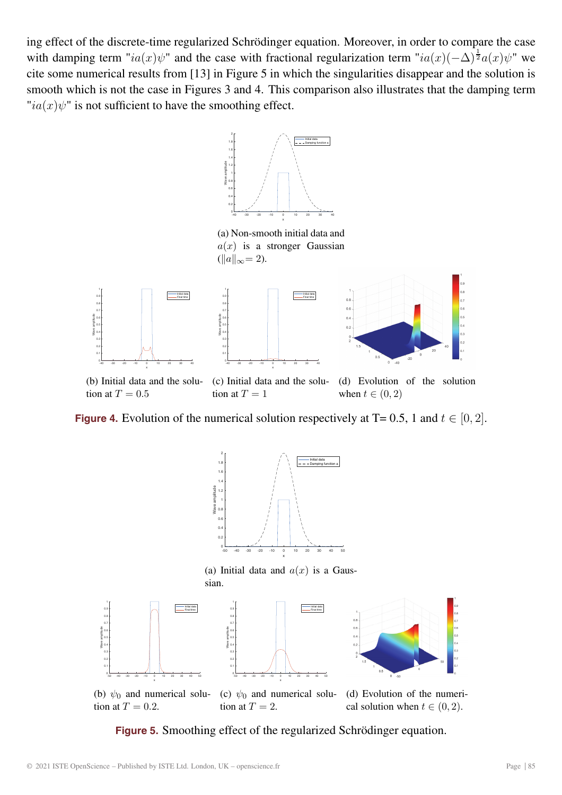ing effect of the discrete-time regularized Schrödinger equation. Moreover, in order to compare the case with damping term " $ia(x)\psi$ " and the case with fractional regularization term " $ia(x)(-\Delta)^{\frac{1}{2}}a(x)\psi$ " we cite some numerical results from [13] in Figure 5 in which the singularities disappear and the solution is smooth which is not the case in Figures 3 and 4. This comparison also illustrates that the damping term  $"ia(x)\psi"$  is not sufficient to have the smoothing effect.



(a) Non-smooth initial data and  $a(x)$  is a stronger Gaussian  $(||a||_{\infty} = 2).$ 



**Figure 4.** Evolution of the numerical solution respectively at  $T = 0.5$ , 1 and  $t \in [0, 2]$ .



**Figure 5.** Smoothing effect of the regularized Schrödinger equation.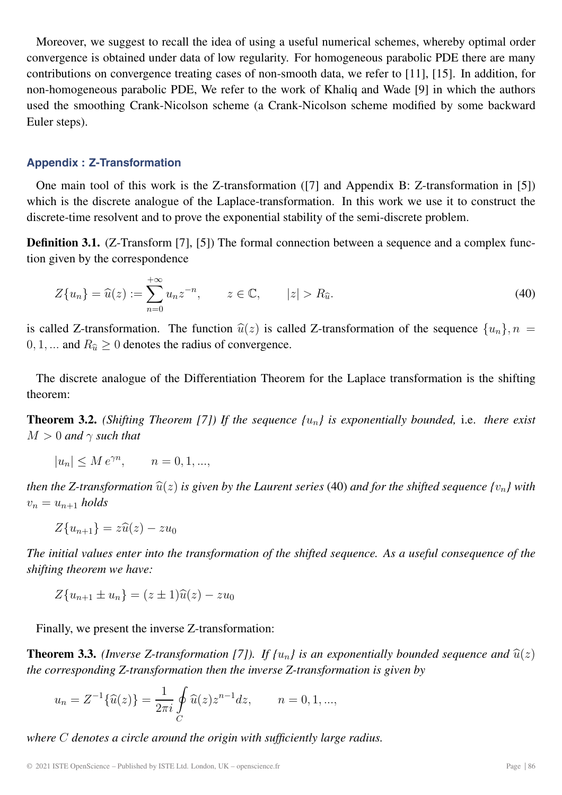Moreover, we suggest to recall the idea of using a useful numerical schemes, whereby optimal order convergence is obtained under data of low regularity. For homogeneous parabolic PDE there are many contributions on convergence treating cases of non-smooth data, we refer to [11], [15]. In addition, for non-homogeneous parabolic PDE, We refer to the work of Khaliq and Wade [9] in which the authors used the smoothing Crank-Nicolson scheme (a Crank-Nicolson scheme modified by some backward Euler steps).

### **Appendix : Z-Transformation**

One main tool of this work is the Z-transformation ([7] and Appendix B: Z-transformation in [5]) which is the discrete analogue of the Laplace-transformation. In this work we use it to construct the discrete-time resolvent and to prove the exponential stability of the semi-discrete problem.

**Definition 3.1.** (Z-Transform [7], [5]) The formal connection between a sequence and a complex function given by the correspondence

$$
Z\{u_n\} = \widehat{u}(z) := \sum_{n=0}^{+\infty} u_n z^{-n}, \qquad z \in \mathbb{C}, \qquad |z| > R_{\widehat{u}}.
$$
 (40)

is called Z-transformation. The function  $\hat{u}(z)$  is called Z-transformation of the sequence  $\{u_n\}$ ,  $n = 0, 1, \dots$  and  $R_{\hat{u}} \ge 0$  denotes the radius of convergence.  $0, 1, \dots$  and  $R_{\hat{u}} \geq 0$  denotes the radius of convergence.

The discrete analogue of the Differentiation Theorem for the Laplace transformation is the shifting theorem:

**Theorem 3.2.** *(Shifting Theorem [7]) If the sequence {*un*} is exponentially bounded,* i.e. *there exist*  $M > 0$  *and*  $\gamma$  *such that* 

$$
|u_n| \le M e^{\gamma n}, \qquad n = 0, 1, \dots,
$$

*then the Z-transformation*  $\hat{u}(z)$  *is given by the Laurent series* (40) *and for the shifted sequence*  $\{v_n\}$  *with*  $v_n = u_{n+1}$  *holds* 

$$
Z\{u_{n+1}\}=z\widehat{u}(z)-zu_0
$$

*The initial values enter into the transformation of the shifted sequence. As a useful consequence of the shifting theorem we have:*

 $Z\{u_{n+1} \pm u_n\} = (z \pm 1)\hat{u}(z) - zu_0$ 

Finally, we present the inverse Z-transformation:

**Theorem 3.3.** *(Inverse Z-transformation [7]). If*  $\{u_n\}$  *is an exponentially bounded sequence and*  $\hat{u}(z)$ *the corresponding Z-transformation then the inverse Z-transformation is given by*

$$
u_n = Z^{-1}\{\widehat{u}(z)\} = \frac{1}{2\pi i} \oint_C \widehat{u}(z) z^{n-1} dz, \qquad n = 0, 1, ...,
$$

*where* C *denotes a circle around the origin with sufficiently large radius.*